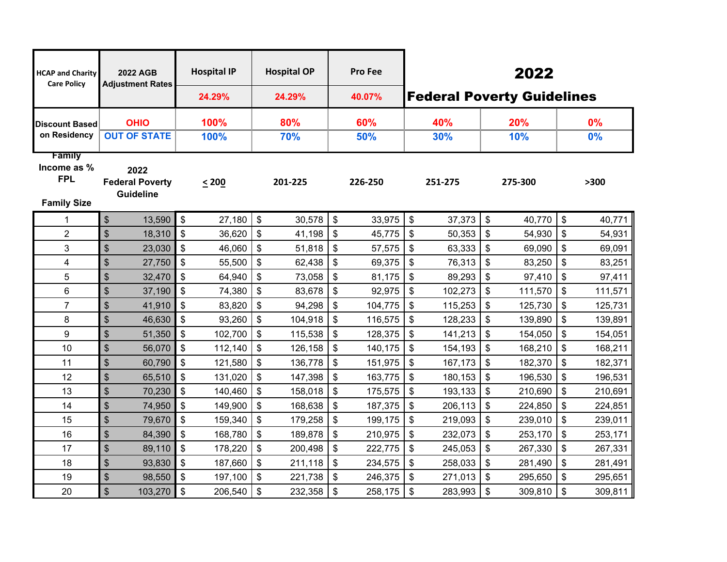| <b>HCAP and Charity</b><br><b>Care Policy</b>   | 2022 AGB<br><b>Adjustment Rates</b>                |                | <b>Hospital IP</b><br>24.29% |                           | <b>Hospital OP</b><br>24.29% |                            | <b>Pro Fee</b><br>40.07% |                           | 2022<br><b>Federal Poverty Guidelines</b> |                           |         |      |         |  |  |
|-------------------------------------------------|----------------------------------------------------|----------------|------------------------------|---------------------------|------------------------------|----------------------------|--------------------------|---------------------------|-------------------------------------------|---------------------------|---------|------|---------|--|--|
| <b>Discount Based</b>                           | <b>OHIO</b>                                        | 100%           |                              | 80%                       |                              | 60%                        |                          | 40%                       |                                           | 20%                       |         | 0%   |         |  |  |
| on Residency                                    | <b>OUT OF STATE</b>                                | 100%           |                              | 70%                       |                              | 50%                        |                          | 30%                       |                                           | 10%                       |         | 0%   |         |  |  |
| <b>Family</b>                                   |                                                    |                |                              |                           |                              |                            |                          |                           |                                           |                           |         |      |         |  |  |
| Income as %<br><b>FPL</b><br><b>Family Size</b> | 2022<br><b>Federal Poverty</b><br><b>Guideline</b> |                | < 200                        | 201-225                   |                              | 226-250                    |                          | 251-275                   |                                           | 275-300                   |         | >300 |         |  |  |
| 1                                               | $\frac{1}{2}$<br>13,590                            | \$             | 27,180                       | \$                        | 30,578                       | $\boldsymbol{\mathsf{s}}$  | 33,975                   | $\$\$                     | 37,373                                    | \$                        | 40,770  | \$   | 40,771  |  |  |
| $\overline{2}$                                  | $\mathfrak{S}$<br>18,310                           | $\mathfrak{S}$ | 36,620                       | $\boldsymbol{\mathsf{S}}$ | 41,198                       | $\boldsymbol{\mathsf{S}}$  | 45,775                   | $\$\$                     | 50,353                                    | $\boldsymbol{\mathsf{S}}$ | 54,930  | \$   | 54,931  |  |  |
| 3                                               | \$<br>23,030                                       | \$             | 46,060                       | \$                        | 51,818                       | $\boldsymbol{\mathsf{\$}}$ | 57,575                   | \$                        | 63,333                                    | \$                        | 69,090  | \$   | 69,091  |  |  |
| 4                                               | $\boldsymbol{\mathsf{S}}$<br>27,750                | \$             | 55,500                       | $\mathsf{\$}$             | 62,438                       | $\boldsymbol{\mathsf{S}}$  | 69,375                   | \$                        | 76,313                                    | \$                        | 83,250  | \$   | 83,251  |  |  |
| 5                                               | $\boldsymbol{\mathsf{S}}$<br>32,470                | \$             | 64,940                       | \$                        | 73,058                       | $\boldsymbol{\mathsf{\$}}$ | 81,175                   | \$                        | 89,293                                    | $\frac{1}{2}$             | 97,410  | \$   | 97,411  |  |  |
| $\,6\,$                                         | \$<br>37,190                                       | \$             | 74,380                       | $\boldsymbol{\mathsf{S}}$ | 83,678                       | \$                         | 92,975                   | \$                        | 102,273                                   | \$                        | 111,570 | \$   | 111,571 |  |  |
| $\overline{7}$                                  | $\boldsymbol{\mathsf{S}}$<br>41,910                | \$             | 83,820                       | \$                        | 94,298                       | \$                         | 104,775                  | \$                        | 115,253                                   | \$                        | 125,730 | \$   | 125,731 |  |  |
| 8                                               | \$<br>46,630                                       | \$             | 93,260                       | $\boldsymbol{\mathsf{S}}$ | 104,918                      | $\boldsymbol{\mathsf{S}}$  | 116,575                  | \$                        | 128,233                                   | $\boldsymbol{\mathsf{S}}$ | 139,890 | \$   | 139,891 |  |  |
| 9                                               | $\mathfrak{S}$<br>51,350                           | \$             | 102,700                      | \$                        | 115,538                      | \$                         | 128,375                  | \$                        | 141,213                                   | \$                        | 154,050 | \$   | 154,051 |  |  |
| 10                                              | $\boldsymbol{\mathsf{S}}$<br>56,070                | \$             | 112,140                      | \$                        | 126,158                      | \$                         | 140,175                  | \$                        | 154,193                                   | \$                        | 168,210 | \$   | 168,211 |  |  |
| 11                                              | \$<br>60,790                                       | \$             | 121,580                      | \$                        | 136,778                      | \$                         | 151,975                  | \$                        | 167,173                                   | \$                        | 182,370 | \$   | 182,371 |  |  |
| 12                                              | $\boldsymbol{\mathsf{S}}$<br>65,510                | \$             | 131,020                      | \$                        | 147,398                      | $\boldsymbol{\mathsf{S}}$  | 163,775                  | \$                        | 180,153                                   | $\boldsymbol{\mathsf{S}}$ | 196,530 | \$   | 196,531 |  |  |
| 13                                              | $\boldsymbol{\mathsf{S}}$<br>70,230                | \$             | 140,460                      | \$                        | 158,018                      | $\mathcal{S}$              | 175,575                  | $\boldsymbol{\mathsf{s}}$ | 193,133                                   | $\boldsymbol{\mathsf{s}}$ | 210,690 | \$   | 210,691 |  |  |
| 14                                              | $\boldsymbol{\mathsf{S}}$<br>74,950                | \$             | 149,900                      | \$                        | 168,638                      | \$                         | 187,375                  | \$                        | 206,113                                   | \$                        | 224,850 | \$   | 224,851 |  |  |
| 15                                              | $\mathfrak{S}$<br>79,670                           | $\mathbb{S}$   | 159,340                      | \$                        | 179,258                      | $\mathsf{\$}$              | 199,175                  | \$                        | 219,093                                   | \$                        | 239,010 | \$   | 239,011 |  |  |
| 16                                              | \$<br>84,390                                       | \$             | 168,780                      | \$                        | 189,878                      | \$                         | 210,975                  | \$                        | 232,073                                   | \$                        | 253,170 | \$   | 253,171 |  |  |
| 17                                              | $\sqrt[6]{\frac{1}{2}}$<br>89,110                  | \$             | 178,220                      | \$                        | 200,498                      | \$                         | 222,775                  | \$                        | 245,053                                   | $\boldsymbol{\mathsf{S}}$ | 267,330 | \$   | 267,331 |  |  |
| 18                                              | $\boldsymbol{\mathsf{S}}$<br>93,830                | \$             | 187,660                      | \$                        | 211,118                      | $\boldsymbol{\mathsf{S}}$  | 234,575                  | \$                        | 258,033                                   | \$                        | 281,490 | \$   | 281,491 |  |  |
| 19                                              | $\boldsymbol{\mathsf{S}}$<br>98,550                | \$             | 197,100                      | \$                        | 221,738                      | $\mathsf{\$}$              | 246,375                  | \$                        | 271,013                                   | \$                        | 295,650 | \$   | 295,651 |  |  |
| 20                                              | $\boldsymbol{\mathsf{S}}$<br>103,270               | \$             | 206,540                      | \$                        | 232,358                      | \$                         | 258,175                  | $\frac{1}{2}$             | 283,993                                   | \$                        | 309,810 | \$   | 309,811 |  |  |